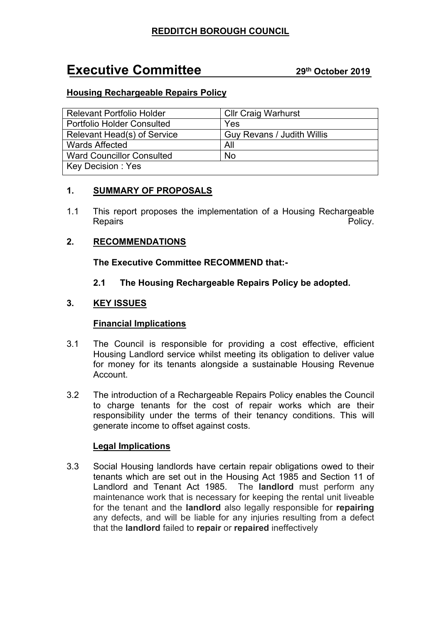# **Executive Committee <sup>29</sup>th October <sup>2019</sup>**

# **Housing Rechargeable Repairs Policy**

| <b>Relevant Portfolio Holder</b>  | <b>Cllr Craig Warhurst</b> |
|-----------------------------------|----------------------------|
| <b>Portfolio Holder Consulted</b> | Yes                        |
| Relevant Head(s) of Service       | Guy Revans / Judith Willis |
| <b>Wards Affected</b>             | All                        |
| <b>Ward Councillor Consulted</b>  | <b>No</b>                  |
| Key Decision: Yes                 |                            |

## **1. SUMMARY OF PROPOSALS**

1.1 This report proposes the implementation of a Housing Rechargeable Repairs **Policy Policy Policy Policy Policy Policy** 

## **2. RECOMMENDATIONS**

**The Executive Committee RECOMMEND that:-**

### **2.1 The Housing Rechargeable Repairs Policy be adopted.**

## **3. KEY ISSUES**

#### **Financial Implications**

- 3.1 The Council is responsible for providing a cost effective, efficient Housing Landlord service whilst meeting its obligation to deliver value for money for its tenants alongside a sustainable Housing Revenue Account.
- 3.2 The introduction of a Rechargeable Repairs Policy enables the Council to charge tenants for the cost of repair works which are their responsibility under the terms of their tenancy conditions. This will generate income to offset against costs.

#### **Legal Implications**

3.3 Social Housing landlords have certain repair obligations owed to their tenants which are set out in the Housing Act 1985 and Section 11 of Landlord and Tenant Act 1985. The **landlord** must perform any maintenance work that is necessary for keeping the rental unit liveable for the tenant and the **landlord** also legally responsible for **repairing** any defects, and will be liable for any injuries resulting from a defect that the **landlord** failed to **repair** or **repaired** ineffectively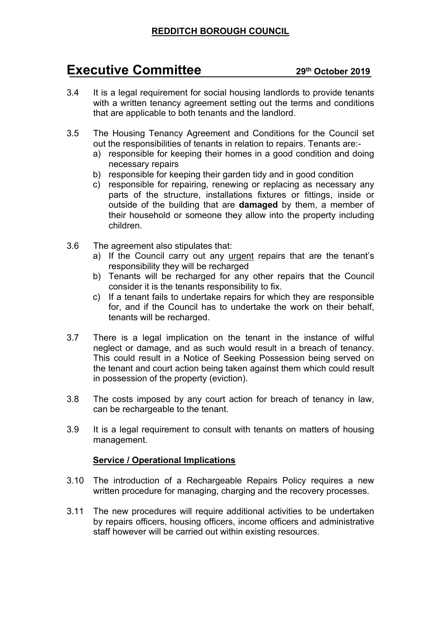# **Executive Committee <sup>29</sup>th October <sup>2019</sup>**

- 3.4 It is a legal requirement for social housing landlords to provide tenants with a written tenancy agreement setting out the terms and conditions that are applicable to both tenants and the landlord.
- 3.5 The Housing Tenancy Agreement and Conditions for the Council set out the responsibilities of tenants in relation to repairs. Tenants are:
	- a) responsible for keeping their homes in a good condition and doing necessary repairs
	- b) responsible for keeping their garden tidy and in good condition
	- c) responsible for repairing, renewing or replacing as necessary any parts of the structure, installations fixtures or fittings, inside or outside of the building that are **damaged** by them, a member of their household or someone they allow into the property including children.
- 3.6 The agreement also stipulates that:
	- a) If the Council carry out any urgent repairs that are the tenant's responsibility they will be recharged
	- b) Tenants will be recharged for any other repairs that the Council consider it is the tenants responsibility to fix.
	- c) If a tenant fails to undertake repairs for which they are responsible for, and if the Council has to undertake the work on their behalf, tenants will be recharged.
- 3.7 There is a legal implication on the tenant in the instance of wilful neglect or damage, and as such would result in a breach of tenancy. This could result in a Notice of Seeking Possession being served on the tenant and court action being taken against them which could result in possession of the property (eviction).
- 3.8 The costs imposed by any court action for breach of tenancy in law, can be rechargeable to the tenant.
- 3.9 It is a legal requirement to consult with tenants on matters of housing management.

#### **Service / Operational Implications**

- 3.10 The introduction of a Rechargeable Repairs Policy requires a new written procedure for managing, charging and the recovery processes.
- 3.11 The new procedures will require additional activities to be undertaken by repairs officers, housing officers, income officers and administrative staff however will be carried out within existing resources.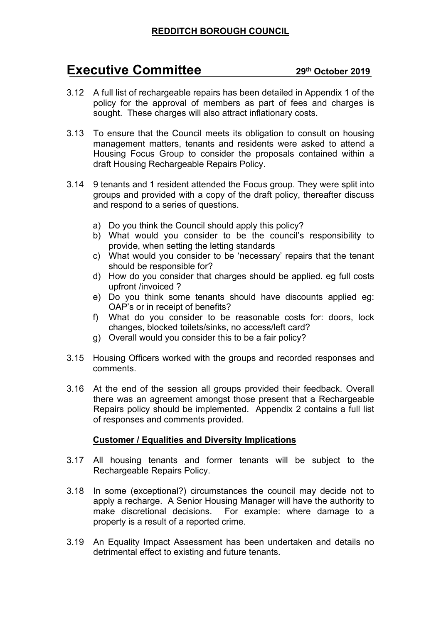# **REDDITCH BOROUGH COUNCIL**

# **Executive Committee <sup>29</sup>th October <sup>2019</sup>**

- 3.12 A full list of rechargeable repairs has been detailed in Appendix 1 of the policy for the approval of members as part of fees and charges is sought. These charges will also attract inflationary costs.
- 3.13 To ensure that the Council meets its obligation to consult on housing management matters, tenants and residents were asked to attend a Housing Focus Group to consider the proposals contained within a draft Housing Rechargeable Repairs Policy.
- 3.14 9 tenants and 1 resident attended the Focus group. They were split into groups and provided with a copy of the draft policy, thereafter discuss and respond to a series of questions.
	- a) Do you think the Council should apply this policy?
	- b) What would you consider to be the council's responsibility to provide, when setting the letting standards
	- c) What would you consider to be 'necessary' repairs that the tenant should be responsible for?
	- d) How do you consider that charges should be applied. eg full costs upfront /invoiced ?
	- e) Do you think some tenants should have discounts applied eg: OAP's or in receipt of benefits?
	- f) What do you consider to be reasonable costs for: doors, lock changes, blocked toilets/sinks, no access/left card?
	- g) Overall would you consider this to be a fair policy?
- 3.15 Housing Officers worked with the groups and recorded responses and comments.
- 3.16 At the end of the session all groups provided their feedback. Overall there was an agreement amongst those present that a Rechargeable Repairs policy should be implemented. Appendix 2 contains a full list of responses and comments provided.

#### **Customer / Equalities and Diversity Implications**

- 3.17 All housing tenants and former tenants will be subject to the Rechargeable Repairs Policy.
- 3.18 In some (exceptional?) circumstances the council may decide not to apply a recharge. A Senior Housing Manager will have the authority to make discretional decisions. For example: where damage to a property is a result of a reported crime.
- 3.19 An Equality Impact Assessment has been undertaken and details no detrimental effect to existing and future tenants.